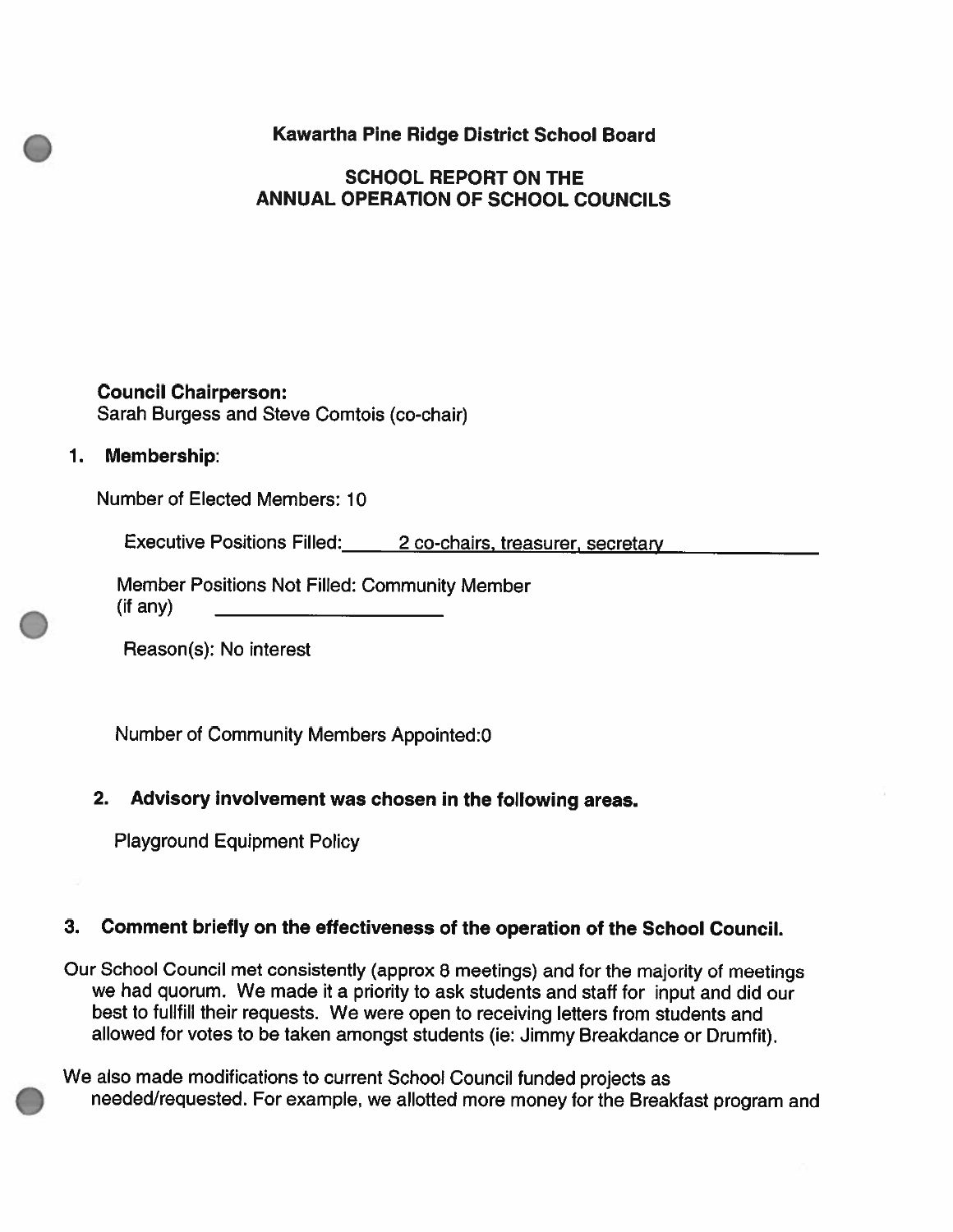Kawartha Pine Ridge District School Board

# SCHOOL REPORT ON THE ANNUAL OPERATION OF SCHOOL COUNCILS

Council Chairperson: Sarah Burgess and Steve Comtois (co-chair)

#### 1. Membership:

Number of Elected Members: 10

Executive Positions Filled: 2 co-chairs, treasurer, secretary

Member Positions Not Filled: Community Member (if any)

Reason(s): No interest

Number of Community Members Appointed:0

## 2. Advisory involvement was chosen in the following areas.

Playground Equipment Policy

#### 3. Comment briefly on the effectiveness of the operation of the School Council.

Our School Council met consistently (approx <sup>8</sup> meetings) and for the majority of meetings we had quorum. We made it <sup>a</sup> priority to ask students and staff for input and did our best to fulifill their requests. We were open to receiving letters from students and allowed for votes to be taken amongst students (ie: Jimmy Breakdance or Drumfit).

We also made modifications to current School Council funded projects as needed/requested. For example, we allotted more money for the Breakfast program and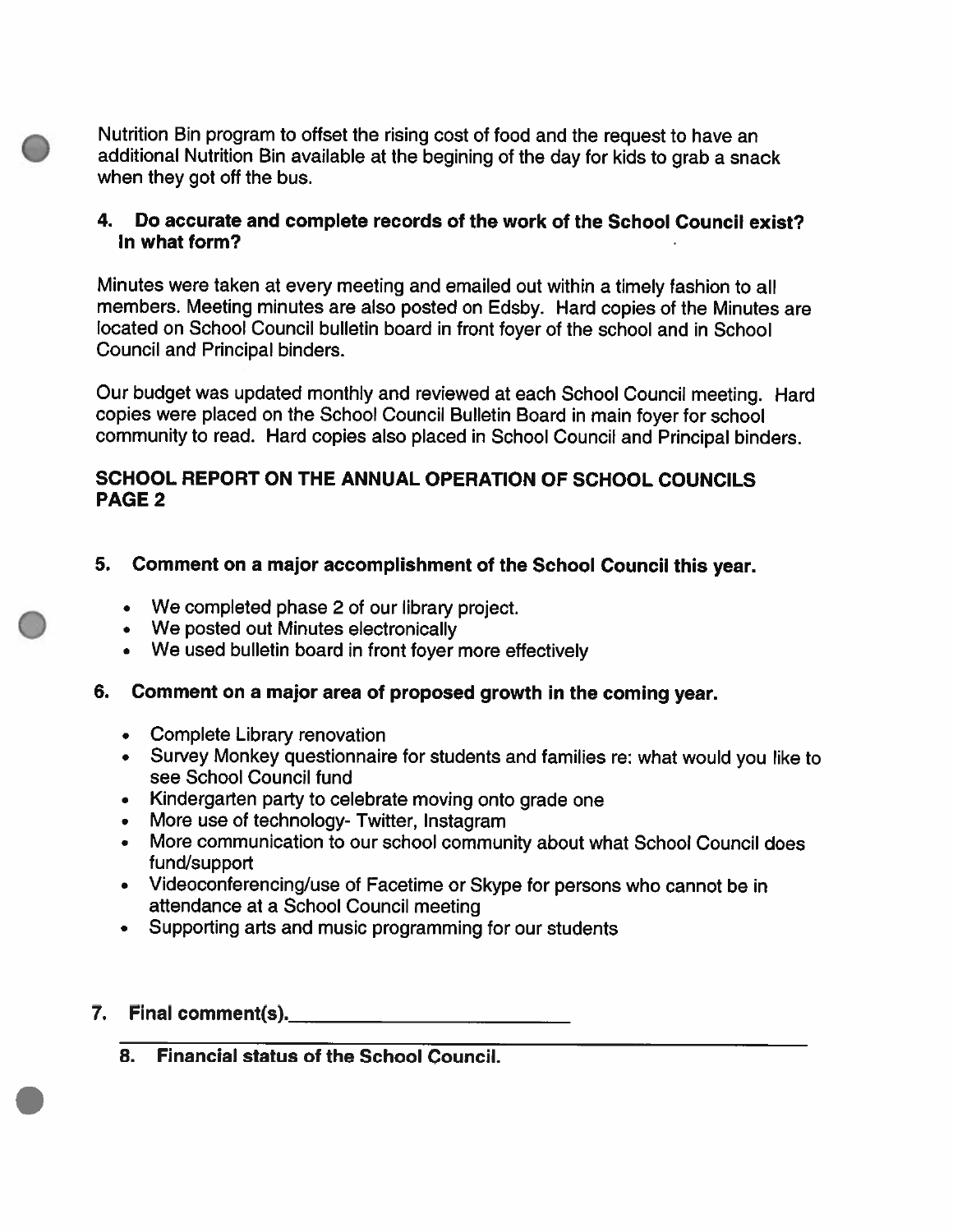Nutrition Bin program to offset the rising cost of food and the request to have an additional Nutrition Bin available at the begining of the day for kids to gra<sup>b</sup> <sup>a</sup> snack when they go<sup>t</sup> off the bus.

## 4. Do accurate and complete records of the work of the School Council exist? In what form?

Minutes were taken at every meeting and emailed out within <sup>a</sup> timely fashion to all members. Meeting minutes are also posted on Edsby. Hard copies of the Minutes are located on School Council bulletin board in front foyer of the school and in School Council and Principal binders.

Our budget was updated monthly and reviewed at each School Council meeting. Hard copies were <sup>p</sup>laced on the School Council Bulletin Board in main foyer for school community to read. Hard copies also <sup>p</sup>laced in School Council and Principal binders.

## SCHOOL REPORT ON THE ANNUAL OPERATION OF SCHOOL COUNCILS PAGE 2

- 5. Comment on <sup>a</sup> major accomplishment of the School Council this year.
	- We completed phase 2 of our library project.
	- We posted out Minutes electronically
	- We used bulletin board in front foyer more effectively
- 6. Comment on <sup>a</sup> major area of proposed growth in the coming year.
	- Complete Library renovation
	- Survey Monkey questionnaire for students and families re: what would you like to see School Council fund
	- Kindergarten party to celebrate moving onto grade one
	- •More use of technology- Twitter, lnstagram
	- • More communication to our school community about what School Council does fund/support
	- Videoconferencing/use of Facetime or Skype for persons who cannot be in attendance at <sup>a</sup> School Council meeting
	- Supporting arts and music programming for our students
- 7. Final comment(s).
	- 8. Financial status of the School Council.